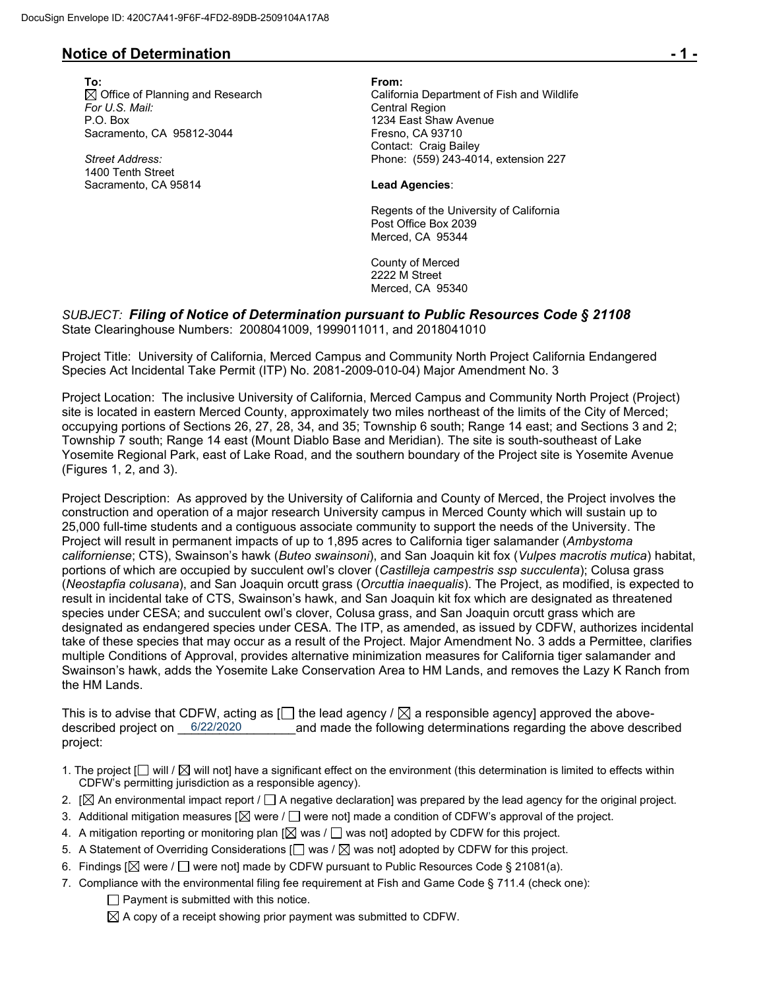## **Notice of Determination - 1 -**

**To: From:**  *For U.S. Mail:* Central Region P.O. Box 1234 East Shaw Avenue Sacramento, CA 95812-3044 Fresno, CA 93710

*Street Address:* 1400 Tenth Street Sacramento, CA 95814 **Lead Agencies**:

Office of Planning and Research California Department of Fish and Wildlife Contact: Craig Bailey Phone: (559) 243-4014, extension 227

Regents of the University of California Post Office Box 2039 Merced, CA 95344

County of Merced 2222 M Street Merced, CA 95340

#### *SUBJECT: Filing of Notice of Determination pursuant to Public Resources Code § 21108* State Clearinghouse Numbers: 2008041009, 1999011011, and 2018041010

Project Title: University of California, Merced Campus and Community North Project California Endangered Species Act Incidental Take Permit (ITP) No. 2081-2009-010-04) Major Amendment No. 3

Project Location: The inclusive University of California, Merced Campus and Community North Project (Project) site is located in eastern Merced County, approximately two miles northeast of the limits of the City of Merced; occupying portions of Sections 26, 27, 28, 34, and 35; Township 6 south; Range 14 east; and Sections 3 and 2; Township 7 south; Range 14 east (Mount Diablo Base and Meridian). The site is south-southeast of Lake Yosemite Regional Park, east of Lake Road, and the southern boundary of the Project site is Yosemite Avenue (Figures 1, 2, and 3).

Project Description: As approved by the University of California and County of Merced, the Project involves the construction and operation of a major research University campus in Merced County which will sustain up to 25,000 full-time students and a contiguous associate community to support the needs of the University. The Project will result in permanent impacts of up to 1,895 acres to California tiger salamander (*Ambystoma californiense*; CTS), Swainson's hawk (*Buteo swainsoni*), and San Joaquin kit fox (*Vulpes macrotis mutica*) habitat, portions of which are occupied by succulent owl's clover (*Castilleja campestris ssp succulenta*); Colusa grass (*Neostapfia colusana*), and San Joaquin orcutt grass (*Orcuttia inaequalis*). The Project, as modified, is expected to result in incidental take of CTS, Swainson's hawk, and San Joaquin kit fox which are designated as threatened species under CESA; and succulent owl's clover, Colusa grass, and San Joaquin orcutt grass which are designated as endangered species under CESA. The ITP, as amended, as issued by CDFW, authorizes incidental take of these species that may occur as a result of the Project. Major Amendment No. 3 adds a Permittee, clarifies multiple Conditions of Approval, provides alternative minimization measures for California tiger salamander and Swainson's hawk, adds the Yosemite Lake Conservation Area to HM Lands, and removes the Lazy K Ranch from the HM Lands.

This is to advise that CDFW, acting as  $\Box$  the lead agency /  $\boxtimes$  a responsible agency] approved the aboveand made the following determinations regarding the above described project: described project on 6/22/2020

- 1. The project  $\Box$  will  $\Box$  will not] have a significant effect on the environment (this determination is limited to effects within CDFW's permitting jurisdiction as a responsible agency).
- 2.  $[\boxtimes]$  An environmental impact report /  $\Box$  A negative declaration] was prepared by the lead agency for the original project.
- 3. Additional mitigation measures [ $\boxtimes$  were /  $\Box$  were not] made a condition of CDFW's approval of the project.
- 4. A mitigation reporting or monitoring plan  $[\boxtimes]$  was  $/\Box$  was not] adopted by CDFW for this project.
- 5. A Statement of Overriding Considerations  $\Box$  was  $\Box$  was not] adopted by CDFW for this project.
- 6. Findings  $[\boxtimes]$  were /  $\Box$  were not] made by CDFW pursuant to Public Resources Code § 21081(a).
- 7. Compliance with the environmental filing fee requirement at Fish and Game Code § 711.4 (check one):  $\Box$  Payment is submitted with this notice.

 $\boxtimes$  A copy of a receipt showing prior payment was submitted to CDFW.